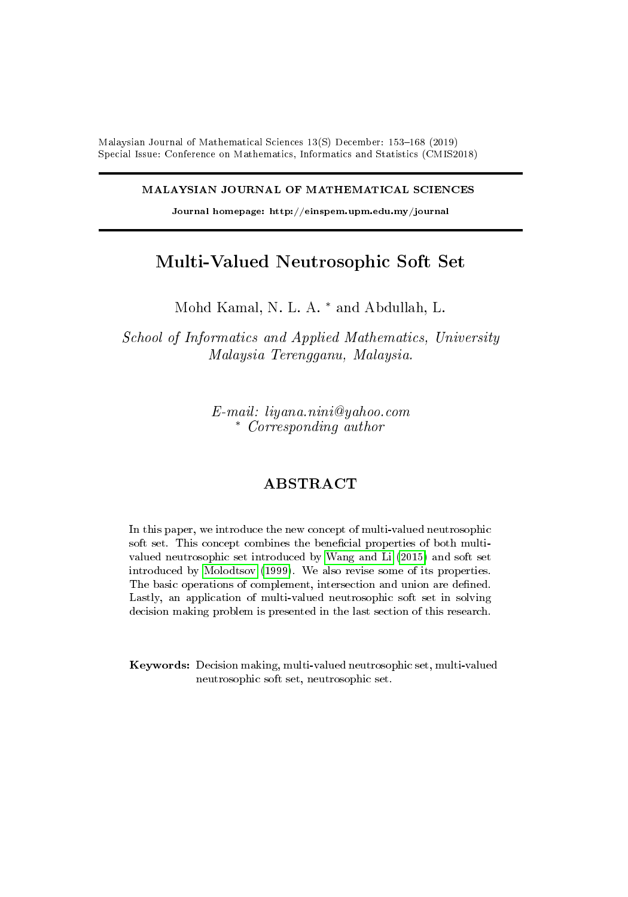Malaysian Journal of Mathematical Sciences  $13(S)$  December: 153-168 (2019) Special Issue: Conference on Mathematics, Informatics and Statistics (CMIS2018)

MALAYSIAN JOURNAL OF MATHEMATICAL SCIENCES

Journal homepage: http://einspem.upm.edu.my/journal

# Multi-Valued Neutrosophic Soft Set

Mohd Kamal, N. L. A. <sup>∗</sup> and Abdullah, L.

School of Informatics and Applied Mathematics, University Malaysia Terengganu, Malaysia.

> E-mail: liyana.nini@yahoo.com <sup>∗</sup> Corresponding author

## ABSTRACT

In this paper, we introduce the new concept of multi-valued neutrosophic soft set. This concept combines the beneficial properties of both multivalued neutrosophic set introduced by [Wang and Li](#page-15-0) [\(2015\)](#page-15-0) and soft set introduced by [Molodtsov](#page-15-1) [\(1999\)](#page-15-1). We also revise some of its properties. The basic operations of complement, intersection and union are defined. Lastly, an application of multi-valued neutrosophic soft set in solving decision making problem is presented in the last section of this research.

Keywords: Decision making, multi-valued neutrosophic set, multi-valued neutrosophic soft set, neutrosophic set.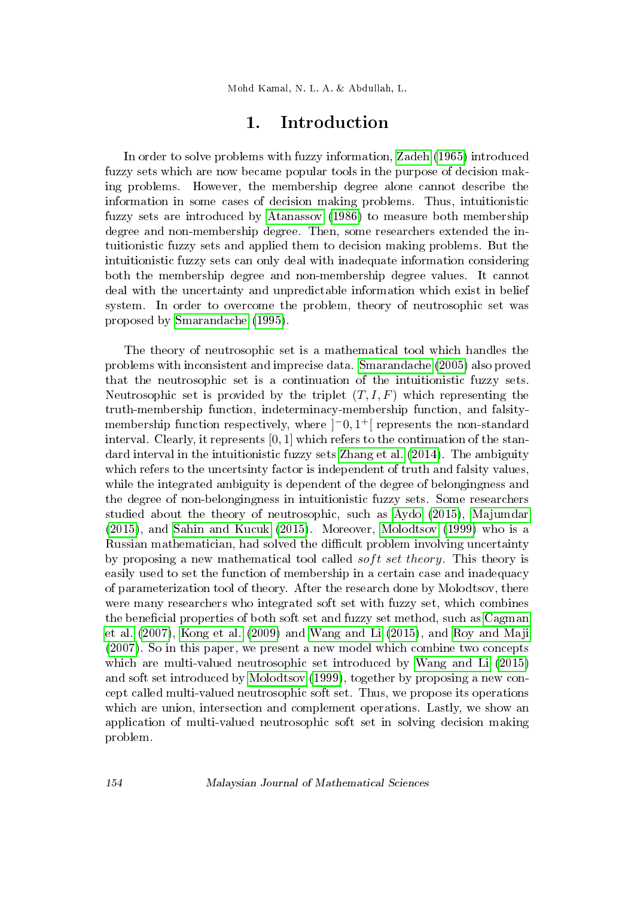Mohd Kamal, N. L. A. & Abdullah, L.

# 1. Introduction

In order to solve problems with fuzzy information, [Zadeh](#page-15-2) [\(1965\)](#page-15-2) introduced fuzzy sets which are now became popular tools in the purpose of decision making problems. However, the membership degree alone cannot describe the information in some cases of decision making problems. Thus, intuitionistic fuzzy sets are introduced by [Atanassov](#page-15-3) [\(1986\)](#page-15-3) to measure both membership degree and non-membership degree. Then, some researchers extended the intuitionistic fuzzy sets and applied them to decision making problems. But the intuitionistic fuzzy sets can only deal with inadequate information considering both the membership degree and non-membership degree values. It cannot deal with the uncertainty and unpredictable information which exist in belief system. In order to overcome the problem, theory of neutrosophic set was proposed by [Smarandache](#page-15-4) [\(1995\)](#page-15-4).

The theory of neutrosophic set is a mathematical tool which handles the problems with inconsistent and imprecise data. [Smarandache](#page-15-5) [\(2005\)](#page-15-5) also proved that the neutrosophic set is a continuation of the intuitionistic fuzzy sets. Neutrosophic set is provided by the triplet  $(T, I, F)$  which representing the truth-membership function, indeterminacy-membership function, and falsitymembership function respectively, where  $]$ <sup>-0</sup>,1<sup>+</sup> $[$  represents the non-standard interval. Clearly, it represents [0, 1] which refers to the continuation of the standard interval in the intuitionistic fuzzy sets [Zhang et al.](#page-15-6) [\(2014\)](#page-15-6). The ambiguity which refers to the uncertsinty factor is independent of truth and falsity values, while the integrated ambiguity is dependent of the degree of belongingness and the degree of non-belongingness in intuitionistic fuzzy sets. Some researchers studied about the theory of neutrosophic, such as [Aydo](#page-15-7) [\(2015\)](#page-15-7), [Majumdar](#page-15-8) [\(2015\)](#page-15-8), and [Sahin and Kucuk](#page-15-9) [\(2015\)](#page-15-9). Moreover, [Molodtsov](#page-15-1) [\(1999\)](#page-15-1) who is a Russian mathematician, had solved the difficult problem involving uncertainty by proposing a new mathematical tool called *soft set theory*. This theory is easily used to set the function of membership in a certain case and inadequacy of parameterization tool of theory. After the research done by Molodtsov, there were many researchers who integrated soft set with fuzzy set, which combines the beneficial properties of both soft set and fuzzy set method, such as [Cagman](#page-15-10) [et al.](#page-15-10) [\(2007\)](#page-15-10), [Kong et al.](#page-15-11) [\(2009\)](#page-15-11) and [Wang and Li](#page-15-0) [\(2015\)](#page-15-0), and [Roy and Maji](#page-15-12) [\(2007\)](#page-15-12). So in this paper, we present a new model which combine two concepts which are multi-valued neutrosophic set introduced by [Wang and Li](#page-15-0) [\(2015\)](#page-15-0) and soft set introduced by [Molodtsov](#page-15-1) [\(1999\)](#page-15-1), together by proposing a new concept called multi-valued neutrosophic soft set. Thus, we propose its operations which are union, intersection and complement operations. Lastly, we show an application of multi-valued neutrosophic soft set in solving decision making problem.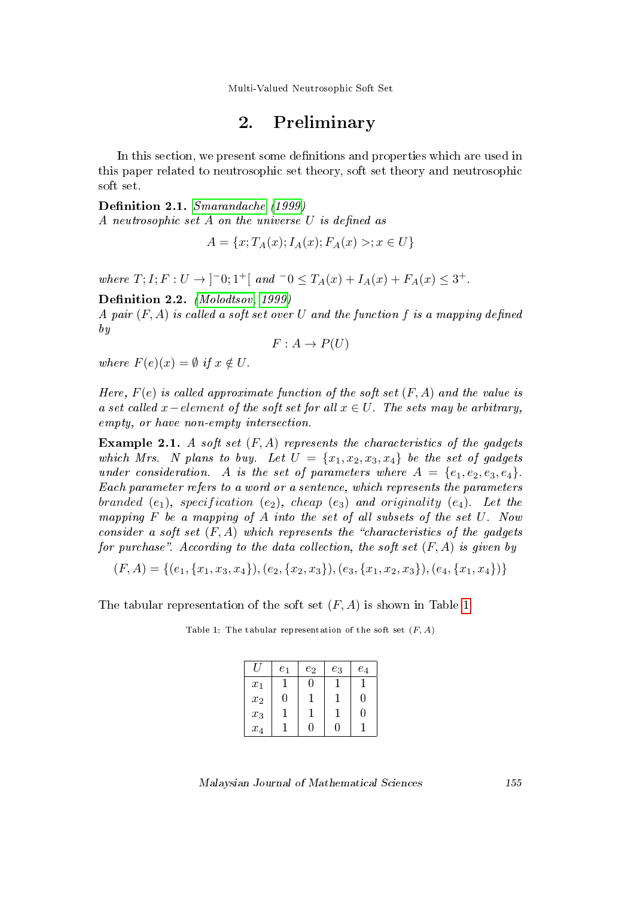Multi-Valued Neutrosophic Soft Set

# 2. Preliminary

In this section, we present some definitions and properties which are used in this paper related to neutrosophic set theory, soft set theory and neutrosophic soft set.

Definition 2.1. [Smarandache](#page-15-13) [\(1999\)](#page-15-13) A neutrosophic set  $A$  on the universe  $U$  is defined as

$$
A = \{x; T_A(x); I_A(x); F_A(x) >; x \in U\}
$$

where  $T; I; F: U \to ]-0; 1^+[$  and  $-0 \le T_A(x) + I_A(x) + F_A(x) \le 3^+$ .

Definition 2.2. [\(Molodtsov, 1999\)](#page-15-1)

A pair  $(F, A)$  is called a soft set over U and the function f is a mapping defined by

$$
F: A \to P(U)
$$

where  $F(e)(x) = \emptyset$  if  $x \notin U$ .

Here,  $F(e)$  is called approximate function of the soft set  $(F, A)$  and the value is a set called x – element of the soft set for all  $x \in U$ . The sets may be arbitrary, empty, or have non-empty intersection.

**Example 2.1.** A soft set  $(F, A)$  represents the characteristics of the gadgets which Mrs. N plans to buy. Let  $U = \{x_1, x_2, x_3, x_4\}$  be the set of gadgets under consideration. A is the set of parameters where  $A = \{e_1, e_2, e_3, e_4\}.$ Each parameter refers to a word or a sentence, which represents the parameters branded (e<sub>1</sub>), specification (e<sub>2</sub>), cheap (e<sub>3</sub>) and originality (e<sub>4</sub>). Let the mapping F be a mapping of A into the set of all subsets of the set U. Now consider a soft set  $(F, A)$  which represents the "characteristics of the gadgets" for purchase". According to the data collection, the soft set  $(F, A)$  is given by

$$
(F, A) = \{(e_1, \{x_1, x_3, x_4\}), (e_2, \{x_2, x_3\}), (e_3, \{x_1, x_2, x_3\}), (e_4, \{x_1, x_4\})\}
$$

<span id="page-2-0"></span>The tabular representation of the soft set  $(F, A)$  is shown in Table [1.](#page-2-0)

Table 1: The tabular representation of the soft set  $(F, A)$ 

|                    | e <sub>1</sub> | $e_2$ | $e_3$ | $e_4$ |
|--------------------|----------------|-------|-------|-------|
| $x_1$              |                | 0     |       |       |
| $\boldsymbol{x}_2$ | 0              |       |       | 0     |
| $x_3$              |                |       |       | 0     |
| $x_4$              |                | 11    | 1     |       |

Malaysian Journal of Mathematical Sciences 155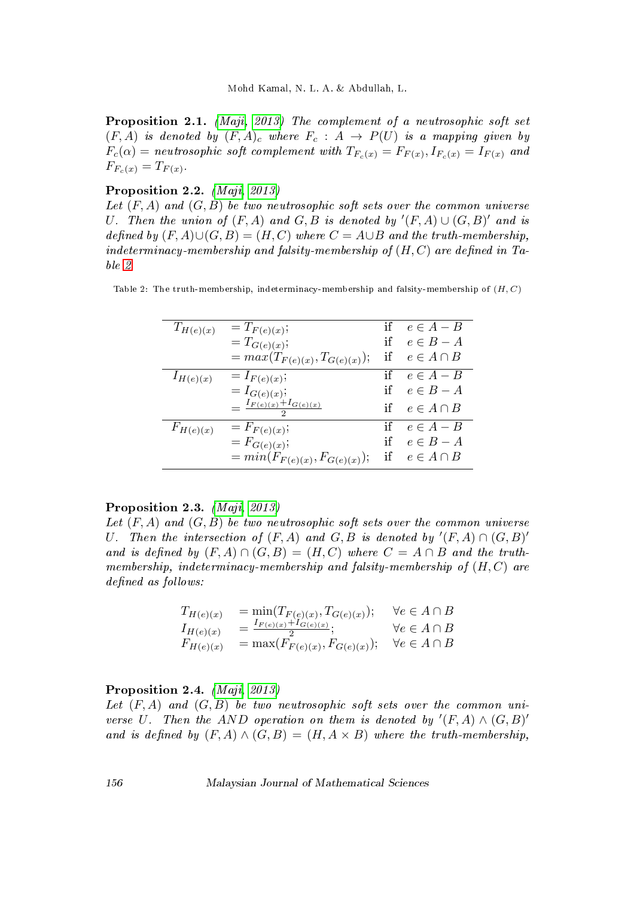Proposition 2.1. [\(Maji, 2013\)](#page-15-14) The complement of a neutrosophic soft set  $(F, A)$  is denoted by  $(F, A)_c$  where  $F_c : A \rightarrow P(U)$  is a mapping given by  $F_c(\alpha) = \emph{neutrosophic soft complement with } T_{F_c(x)} = F_{F(x)}, I_{F_c(x)} = I_{F(x)}$  and  $F_{F_c}(x) = T_{F(x)}$ .

## Proposition 2.2. [\(Maji, 2013\)](#page-15-14)

Let  $(F, A)$  and  $(G, B)$  be two neutrosophic soft sets over the common universe U. Then the union of  $(F, A)$  and  $G, B$  is denoted by  $'(F, A) \cup (G, B)'$  and is defined by  $(F, A) \cup (G, B) = (H, C)$  where  $C = A \cup B$  and the truth-membership, indeterminacy-membership and falsity-membership of  $(H, C)$  are defined in Table [2.](#page-3-0)

<span id="page-3-0"></span>Table 2: The truth-membership, indeterminacy-membership and falsity-membership of  $(H, C)$ 

| $T_{H(e)(x)}$ | $=T_{F(e)(x)};$                                | if | $e \in A - B$    |
|---------------|------------------------------------------------|----|------------------|
|               | $=T_{G(e)(x)};$                                | if | $e \in B - A$    |
|               | $= max(T_{F(e)(x)}, T_{G(e)(x)});$             | if | $e \in A \cap B$ |
| $I_{H(e)(x)}$ | $= I_{F(e)(x)};$                               | if | $e \in A - B$    |
|               | $= I_{G(e)(x)};$                               |    | if $e \in B - A$ |
|               | $=\frac{I_{F(e)(x)}+I_{G(e)(x)}}{E_{F(e)(x)}}$ |    | $e \in A \cap B$ |
| $F_{H(e)(x)}$ | $= F_{F(e)(x)};$                               | if | $e \in A - B$    |
|               | $= F_{G(e)(x)};$                               | if | $e \in B - A$    |
|               | $= min(F_{F(e)(x)}, F_{G(e)(x)});$             | if | $e \in A \cap B$ |
|               |                                                |    |                  |

## Proposition 2.3. [\(Maji, 2013\)](#page-15-14)

Let  $(F, A)$  and  $(G, B)$  be two neutrosophic soft sets over the common universe U. Then the intersection of  $(F, A)$  and  $G, B$  is denoted by  $'(F, A) \cap (G, B)'$ and is defined by  $(F, A) \cap (G, B) = (H, C)$  where  $C = A \cap B$  and the truthmembership, indeterminacy-membership and falsity-membership of  $(H, C)$  are defined as follows:

$$
T_{H(e)(x)} = \min(T_{F(e)(x)}, T_{G(e)(x)}); \quad \forall e \in A \cap B
$$
  
\n
$$
I_{H(e)(x)} = \frac{I_{F(e)(x)} + I_{G(e)(x)}}{2}; \quad \forall e \in A \cap B
$$
  
\n
$$
F_{H(e)(x)} = \max(F_{F(e)(x)}, F_{G(e)(x)}); \quad \forall e \in A \cap B
$$

## Proposition 2.4. *[\(Maji, 2013\)](#page-15-14)*

Let  $(F, A)$  and  $(G, B)$  be two neutrosophic soft sets over the common universe U. Then the AND operation on them is denoted by  $'(F, A) \wedge (G, B)'$ and is defined by  $(F, A) \wedge (G, B) = (H, A \times B)$  where the truth-membership,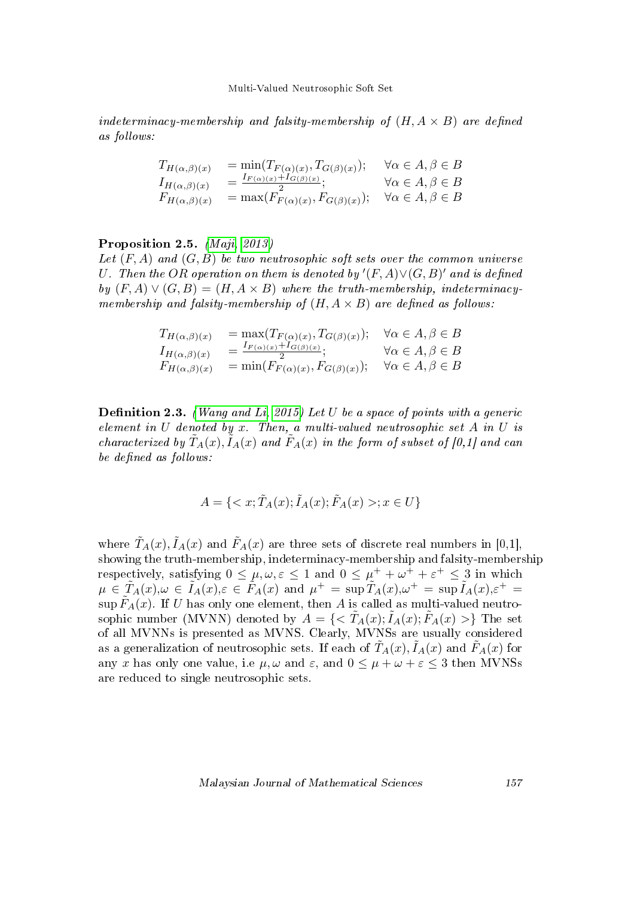#### Multi-Valued Neutrosophic Soft Set

indeterminacy-membership and falsity-membership of  $(H, A \times B)$  are defined as follows:

$$
T_{H(\alpha,\beta)(x)} = \min(T_{F(\alpha)(x)}, T_{G(\beta)(x)}); \quad \forall \alpha \in A, \beta \in B
$$
  
\n
$$
I_{H(\alpha,\beta)(x)} = \frac{I_{F(\alpha)(x)} + I_{G(\beta)(x)}}{2}; \quad \forall \alpha \in A, \beta \in B
$$
  
\n
$$
F_{H(\alpha,\beta)(x)} = \max(F_{F(\alpha)(x)}, F_{G(\beta)(x)}); \quad \forall \alpha \in A, \beta \in B
$$

### Proposition 2.5. *[\(Maji, 2013\)](#page-15-14)*

Let  $(F, A)$  and  $(G, B)$  be two neutrosophic soft sets over the common universe U. Then the OR operation on them is denoted by  $'(F, A) \vee (G, B)'$  and is defined by  $(F, A) \vee (G, B) = (H, A \times B)$  where the truth-membership, indeterminacymembership and falsity-membership of  $(H, A \times B)$  are defined as follows:

$$
T_{H(\alpha,\beta)(x)} = \max(T_{F(\alpha)(x)}, T_{G(\beta)(x)}); \quad \forall \alpha \in A, \beta \in B
$$
  
\n
$$
I_{H(\alpha,\beta)(x)} = \frac{I_{F(\alpha)(x)} + I_{G(\beta)(x)}}{2}; \quad \forall \alpha \in A, \beta \in B
$$
  
\n
$$
F_{H(\alpha,\beta)(x)} = \min(F_{F(\alpha)(x)}, F_{G(\beta)(x)}); \quad \forall \alpha \in A, \beta \in B
$$

**Definition 2.3.** [\(Wang and Li, 2015\)](#page-15-0) Let U be a space of points with a generic element in  $U$  denoted by  $x$ . Then, a multi-valued neutrosophic set  $A$  in  $U$  is characterized by  $\tilde{T}_A(x), \tilde{I}_A(x)$  and  $\tilde{F}_A(x)$  in the form of subset of [0,1] and can be defined as follows:

$$
A = \{ \langle x; \tilde{T}_A(x); \tilde{I}_A(x); \tilde{F}_A(x) >; x \in U \}
$$

where  $\tilde{T}_A(x), \tilde{I}_A(x)$  and  $\tilde{F}_A(x)$  are three sets of discrete real numbers in [0,1], showing the truth-membership, indeterminacy-membership and falsity-membership respectively, satisfying  $0 \leq \mu, \omega, \varepsilon \leq 1$  and  $0 \leq \mu^{+} + \omega^{+} + \varepsilon^{+} \leq 3$  in which  $\mu \in \tilde{T}_A(x), \omega \in \tilde{I}_A(x), \varepsilon \in \tilde{F}_A(x) \text{ and } \mu^+ = \sup \tilde{T}_A(x), \omega^+ = \sup \tilde{I}_A(x), \varepsilon^+ = 0$  $\sup \tilde{F}_A(x)$ . If U has only one element, then A is called as multi-valued neutrosophic number (MVNN) denoted by  $A = \{ \langle T_A(x); I_A(x); F_A(x) \rangle \}$  The set of all MVNNs is presented as MVNS. Clearly, MVNSs are usually considered as a generalization of neutrosophic sets. If each of  $\tilde{T}_A(x), \tilde{I}_A(x)$  and  $\tilde{F}_A(x)$  for any x has only one value, i.e  $\mu, \omega$  and  $\varepsilon$ , and  $0 \leq \mu + \omega + \varepsilon \leq 3$  then MVNSs are reduced to single neutrosophic sets.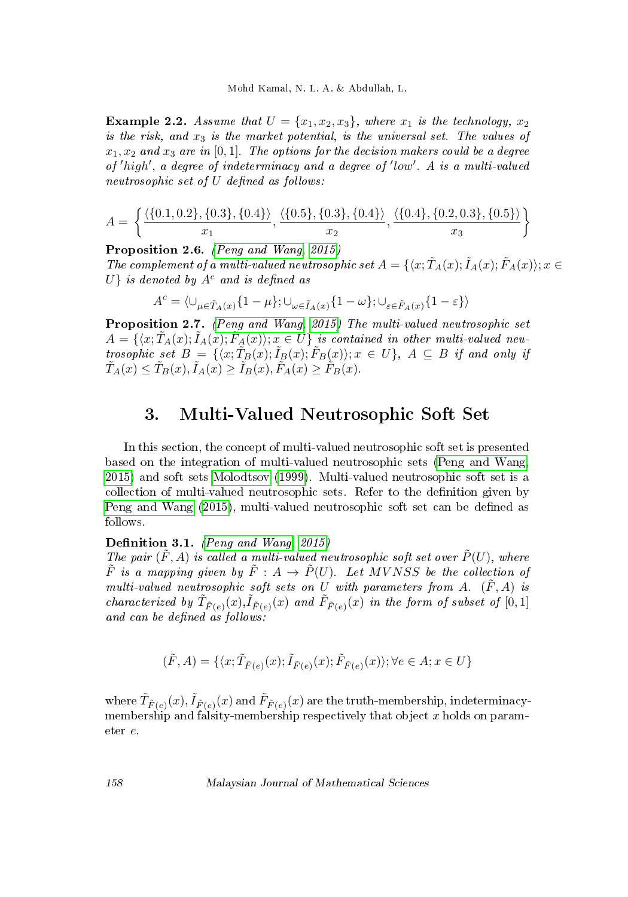**Example 2.2.** Assume that  $U = \{x_1, x_2, x_3\}$ , where  $x_1$  is the technology,  $x_2$ is the risk, and  $x_3$  is the market potential, is the universal set. The values of  $x_1, x_2$  and  $x_3$  are in [0,1]. The options for the decision makers could be a degree of 'high', a degree of indeterminacy and a degree of 'low'. A is a multi-valued  $neutrosophic set of U defined as follows:$ 

$$
A = \left\{ \frac{\langle \{0.1, 0.2\}, \{0.3\}, \{0.4\} \rangle}{x_1}, \frac{\langle \{0.5\}, \{0.3\}, \{0.4\} \rangle}{x_2}, \frac{\langle \{0.4\}, \{0.2, 0.3\}, \{0.5\} \rangle}{x_3} \right\}
$$

Proposition 2.6. [\(Peng and Wang, 2015\)](#page-15-15)

The complement of a multi-valued neutrosophic set  $A = \{ \langle x, \tilde{T}_A(x), \tilde{I}_A(x), \tilde{F}_A(x) \rangle; x \in$  $U$  is denoted by  $A^c$  and is defined as

$$
A^c=\langle \cup_{\mu\in \tilde T_A(x)}\{1-\mu\}; \cup_{\omega\in \tilde I_A(x)}\{1-\omega\}; \cup_{\varepsilon\in \tilde F_A(x)}\{1-\varepsilon\}\rangle
$$

Proposition 2.7. [\(Peng and Wang, 2015\)](#page-15-15) The multi-valued neutrosophic set  $A = \{\langle x; \tilde{T}_A(x); \tilde{I}_A(x); \tilde{F}_A(x)\rangle; x \in U\}$  is contained in other multi-valued neutrosophic set  $B = \{ \langle x; \tilde{T}_B(x); \tilde{I}_B(x); \tilde{F}_B(x) \rangle; x \in U \}, A \subseteq B$  if and only if  $\tilde{T}_A(x) \leq \tilde{T}_B(x), \tilde{I}_A(x) \geq \tilde{I}_B(x), \tilde{F}_A(x) \geq \tilde{F}_B(x).$ 

## 3. Multi-Valued Neutrosophic Soft Set

In this section, the concept of multi-valued neutrosophic soft set is presented based on the integration of multi-valued neutrosophic sets [\(Peng and Wang,](#page-15-15) [2015\)](#page-15-15) and soft sets [Molodtsov](#page-15-1) [\(1999\)](#page-15-1). Multi-valued neutrosophic soft set is a collection of multi-valued neutrosophic sets. Refer to the denition given by [Peng and Wang](#page-15-15) [\(2015\)](#page-15-15), multi-valued neutrosophic soft set can be defined as follows.

Definition 3.1. (Peng and Wang,  $2015$ )

The pair  $(\tilde{F}, A)$  is called a multi-valued neutrosophic soft set over  $\tilde{P}(U)$ , where  $\tilde{F}$  is a mapping given by  $\tilde{F}: A \rightarrow \tilde{P}(U)$ . Let MVNSS be the collection of multi-valued neutrosophic soft sets on U with parameters from A.  $(\tilde{F}, A)$  is characterized by  $\tilde{T}_{\tilde{F}(e)}(x), \tilde{I}_{\tilde{F}(e)}(x)$  and  $\tilde{F}_{\tilde{F}(e)}(x)$  in the form of subset of  $[0,1]$ and can be defined as  $follows$ :

$$
(\tilde{F}, A) = \{\langle x;\tilde{T}_{\tilde{F}(e)}(x); \tilde{I}_{\tilde{F}(e)}(x); \tilde{F}_{\tilde{F}(e)}(x)\rangle; \forall e \in A; x \in U\}
$$

where  $\tilde{T}_{\tilde{F}(e)}(x),\tilde{I}_{\tilde{F}(e)}(x)$  and  $\tilde{F}_{\tilde{F}(e)}(x)$  are the truth-membership, indeterminacymembership and falsity-membership respectively that object  $x$  holds on parameter e.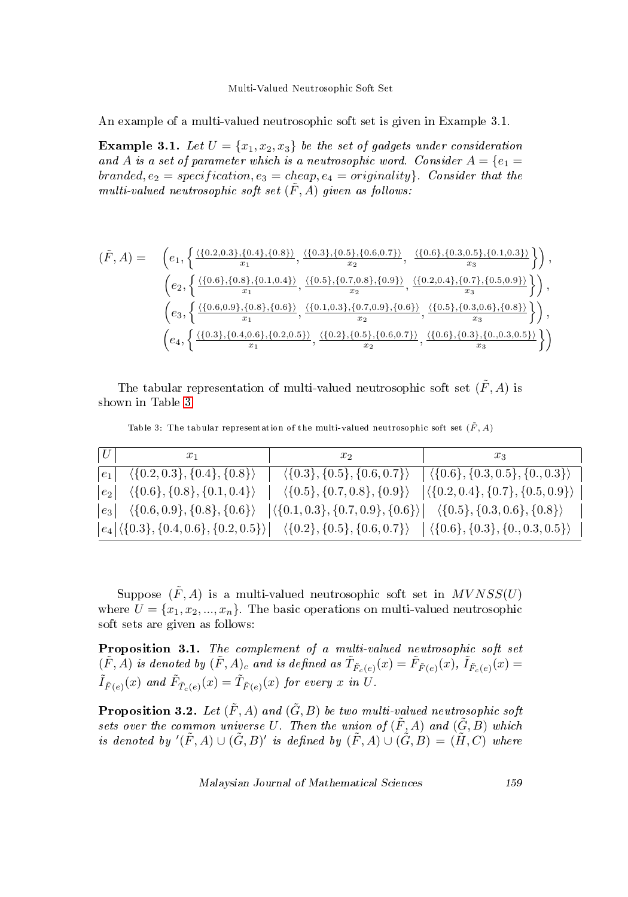An example of a multi-valued neutrosophic soft set is given in Example 3.1.

**Example 3.1.** Let  $U = \{x_1, x_2, x_3\}$  be the set of gadgets under consideration and A is a set of parameter which is a neutrosophic word. Consider  $A = \{e_1 =$ branded,  $e_2$  = specification,  $e_3$  = cheap,  $e_4$  = originality}. Consider that the multi-valued neutrosophic soft set  $(\tilde{F}, A)$  given as follows:

$$
(\tilde{F}, A) = \begin{pmatrix} e_1, \left\{ \frac{\{(0.2, 0.3\}, \{0.4\}, \{0.8\})}{x_1}, \frac{\{(0.3\}, \{0.5\}, \{0.6, 0.7\})}{x_2}, \frac{\{(0.6\}, \{0.3, 0.5\}, \{0.1, 0.3\})}{x_3} \right\} \right), \\ e_2, \left\{ \frac{\{(0.6\}, \{0.8\}, \{0.1, 0.4\})}{x_1}, \frac{\{(0.5\}, \{0.7, 0.8\}, \{0.9\})}{x_2}, \frac{\{(0.2, 0.4\}, \{0.7\}, \{0.5, 0.9\})}{x_3} \right\} \right), \\ e_3, \left\{ \frac{\{(0.6, 0.9\}, \{0.8\}, \{0.6\})}{x_1}, \frac{\{(0.1, 0.3\}, \{0.7, 0.9\}, \{0.6\})}{x_2}, \frac{\{(0.5\}, \{0.3, 0.6\}, \{0.8\}\})}{x_3}, \frac{\{(0.5\}, \{0.3, 0.6\}, \{0.8\})}{x_3} \right\} \right), \\ e_4, \left\{ \frac{\{(0.3\}, \{0.4, 0.6\}, \{0.2, 0.5\})}{x_1}, \frac{\{(0.2\}, \{0.5\}, \{0.6, 0.7\})}{x_2}, \frac{\{(0.6\}, \{0.3\}, \{0.0.3, 0.5\})}{x_3} \right\} \right)
$$

The tabular representation of multi-valued neutrosophic soft set  $(\tilde{F}, A)$  is shown in Table [3.](#page-6-0)

<span id="page-6-0"></span>Table 3: The tabular representation of the multi-valued neutrosophic soft set  $(\tilde{F}, A)$ 

| U | $x_1$                                                        | $x_2$                                                                                                                                                                                                                                                      | $x_3$                                                                                                  |
|---|--------------------------------------------------------------|------------------------------------------------------------------------------------------------------------------------------------------------------------------------------------------------------------------------------------------------------------|--------------------------------------------------------------------------------------------------------|
|   | $ e_1  \quad \langle \{0.2, 0.3\}, \{0.4\}, \{0.8\} \rangle$ |                                                                                                                                                                                                                                                            | $\langle \{0.3\}, \{0.5\}, \{0.6, 0.7\} \rangle$ $ \langle \{0.6\}, \{0.3, 0.5\}, \{0., 0.3\} \rangle$ |
|   |                                                              | $\vert e_2 \vert \quad \langle \{0.6\}, \{0.8\}, \{0.1, 0.4\} \rangle \quad \vert \quad \langle \{0.5\}, \{0.7, 0.8\}, \{0.9\} \rangle \quad \vert \langle \{0.2, 0.4\}, \{0.7\}, \{0.5, 0.9\} \rangle$                                                    |                                                                                                        |
|   |                                                              | $\begin{array}{ c c c c c c c } \hline \begin{array}{c c c c} \langle \{0.6, 0.9\}, \{0.8\}, \{0.6\} \rangle & \langle \{0.1, 0.3\}, \{0.7, 0.9\}, \{0.6\} \rangle & \langle \{0.5\}, \{0.3, 0.6\}, \{0.8\} \rangle \hline \end{array} \hline \end{array}$ |                                                                                                        |
|   |                                                              | $\big e_4\big \langle \{0.3\}, \{0.4, 0.6\}, \{0.2, 0.5\}\rangle\big  \quad \langle \{0.2\}, \{0.5\}, \{0.6, 0.7\}\rangle \quad \big \left.\langle \{0.6\}, \{0.3\}, \{0., 0.3, 0.5\}\right\rangle$                                                        |                                                                                                        |

Suppose  $(\tilde{F}, A)$  is a multi-valued neutrosophic soft set in  $MVNSS(U)$ where  $U = \{x_1, x_2, ..., x_n\}$ . The basic operations on multi-valued neutrosophic soft sets are given as follows:

Proposition 3.1. The complement of a multi-valued neutrosophic soft set  $(\tilde{F},\tilde{A})$  is denoted by  $(\tilde{F},A)_c$  and is defined as  $\tilde{T}_{\tilde{F}_c(e)}(x)=\tilde{F}_{\tilde{F}(e)}(x),$   $\tilde{I}_{\tilde{F}_c(e)}(x)=$  $\tilde{I}_{\tilde{F}(e)}(x)$  and  $\tilde{F}_{\tilde{T}_c(e)}(x) = \tilde{T}_{\tilde{F}(e)}(x)$  for every x in  $U$ .

**Proposition 3.2.** Let  $(\tilde{F}, A)$  and  $(\tilde{G}, B)$  be two multi-valued neutrosophic soft sets over the common universe U. Then the union of  $(\tilde{F}, A)$  and  $(\tilde{G}, B)$  which is denoted by  $'(\tilde{F},A)\cup (\tilde{G},B)'$  is defined by  $(\tilde{F},A)\cup (\tilde{G},B)=(\tilde{H},C)$  where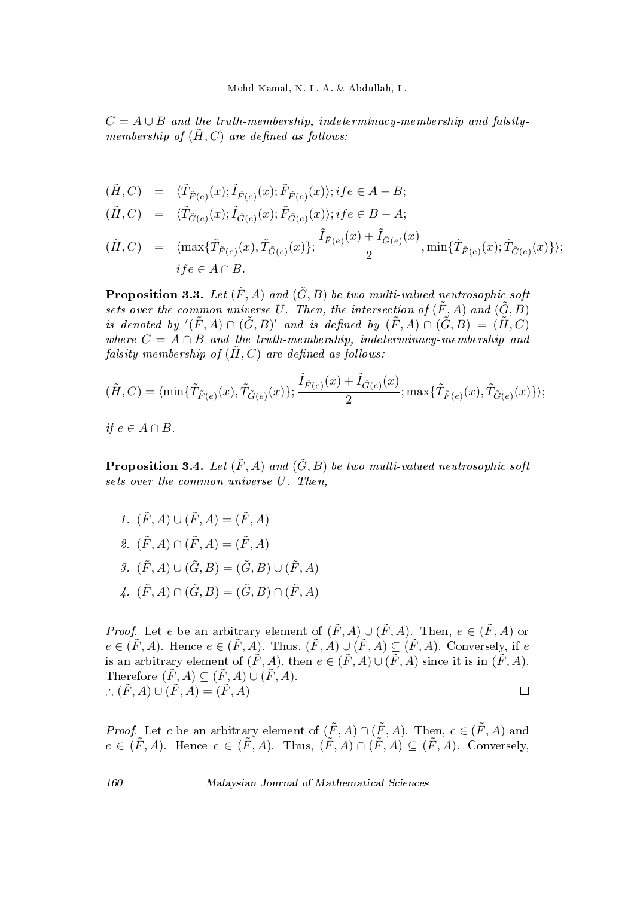$C = A \cup B$  and the truth-membership, indeterminacy-membership and falsitymembership of  $(H, C)$  are defined as follows:

$$
(\tilde{H}, C) \quad = \quad \langle \tilde{T}_{\tilde{F}(e)}(x); \tilde{I}_{\tilde{F}(e)}(x); \tilde{F}_{\tilde{F}(e)}(x) \rangle; i f e \in A - B;
$$

 $(\tilde{H}, C) = \langle \tilde{T}_{\tilde{G}(e)}(x); \tilde{I}_{\tilde{G}(e)}(x); \tilde{F}_{\tilde{G}(e)}(x) \rangle; if e \in B - A;$ 

$$
(\tilde{H}, C) = \langle \max{\{\tilde{T}_{\tilde{F}(e)}(x), \tilde{T}_{\tilde{G}(e)}(x)\}}; \frac{\tilde{I}_{\tilde{F}(e)}(x) + \tilde{I}_{\tilde{G}(e)}(x)}{2}, \min{\{\tilde{T}_{\tilde{F}(e)}(x); \tilde{T}_{\tilde{G}(e)}(x)\}}\rangle;
$$
  
if  $e \in A \cap B$ .

**Proposition 3.3.** Let  $(\tilde{F}, A)$  and  $(\tilde{G}, B)$  be two multi-valued neutrosophic soft sets over the common universe U. Then, the intersection of  $(\tilde{F}, A)$  and  $(\tilde{G}, B)$ is denoted by  $'(\tilde{F},A) \cap (\tilde{G},B)'$  and is defined by  $(\tilde{F},A) \cap (\tilde{G},B) = (\tilde{H},C)$ where  $C = A \cap B$  and the truth-membership, indeterminacy-membership and falsity-membership of  $(\tilde{H}, C)$  are defined as follows:

$$
(\tilde{H}, C) = \langle \min\{\tilde{T}_{\tilde{F}(e)}(x), \tilde{T}_{\tilde{G}(e)}(x)\}; \frac{\tilde{I}_{\tilde{F}(e)}(x) + \tilde{I}_{\tilde{G}(e)}(x)}{2}; \max\{\tilde{T}_{\tilde{F}(e)}(x), \tilde{T}_{\tilde{G}(e)}(x)\}\rangle;
$$

*if*  $e \in A ∩ B$ .

**Proposition 3.4.** Let  $(\tilde{F}, A)$  and  $(\tilde{G}, B)$  be two multi-valued neutrosophic soft sets over the common universe U. Then,

1.  $(\tilde{F}, A) \cup (\tilde{F}, A) = (\tilde{F}, A)$ 2.  $(\tilde{F}, A) \cap (\tilde{F}, A) = (\tilde{F}, A)$ 3.  $(\tilde{F}, A) \cup (\tilde{G}, B) = (\tilde{G}, B) \cup (\tilde{F}, A)$ 4.  $(\tilde{F}, A) \cap (\tilde{G}, B) = (\tilde{G}, B) \cap (\tilde{F}, A)$ 

*Proof.* Let e be an arbitrary element of  $(\tilde{F}, A) \cup (\tilde{F}, A)$ . Then,  $e \in (\tilde{F}, A)$  or  $e \in (\tilde{F}, A)$ . Hence  $e \in (\tilde{F}, A)$ . Thus,  $(\tilde{F}, A) \cup (\tilde{F}, A) \subseteq (\tilde{F}, A)$ . Conversely, if e is an arbitrary element of  $(\tilde{F}, A)$ , then  $e \in (\tilde{F}, A) \cup (\overline{\tilde{F}}, A)$  since it is in  $(\tilde{F}, A)$ . Therefore  $(\tilde{F}, A) \subseteq (\tilde{F}, A) \cup (\tilde{F}, A)$ .  $\therefore (\tilde{F}, A) \cup (\tilde{F}, A) = (\tilde{F}, A)$  $\Box$ 

*Proof.* Let e be an arbitrary element of  $(\tilde{F}, A) \cap (\tilde{F}, A)$ . Then,  $e \in (\tilde{F}, A)$  and  $e \in (\tilde{F}, A)$ . Hence  $e \in (\tilde{F}, A)$ . Thus,  $(\tilde{F}, A) \cap (\tilde{F}, A) \subseteq (\tilde{F}, A)$ . Conversely,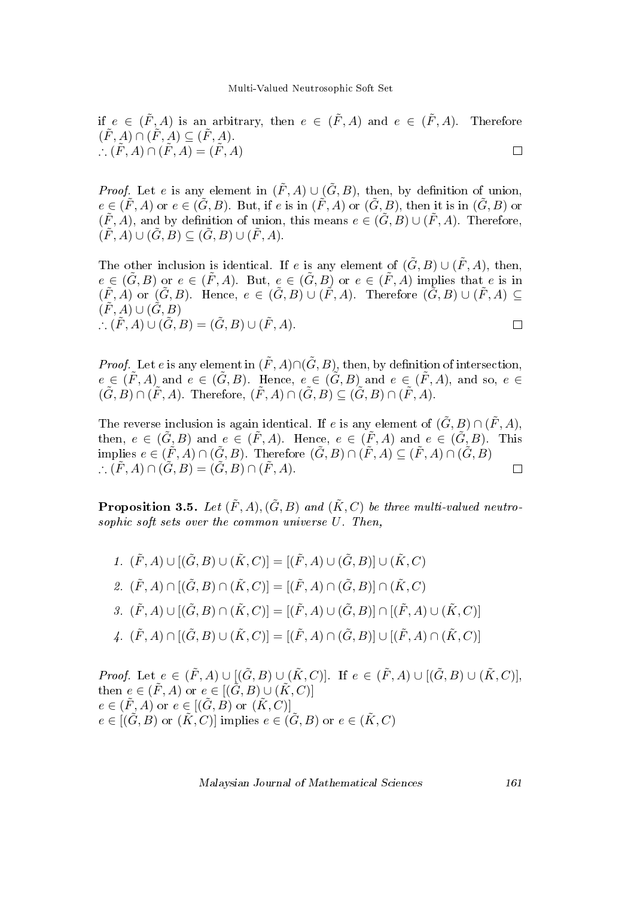if  $e \in (\tilde{F}, A)$  is an arbitrary, then  $e \in (\tilde{F}, A)$  and  $e \in (\tilde{F}, A)$ . Therefore  $(\tilde{F}, A) \cap (\tilde{F}, A) \subseteq (\tilde{F}, A).$  $\therefore (\tilde{F}, A) \cap (\tilde{F}, A) = (\tilde{F}, A)$  $\Box$ 

*Proof.* Let e is any element in  $(\tilde{F}, A) \cup (\tilde{G}, B)$ , then, by definition of union,  $e \in (\tilde{F}, A)$  or  $e \in (\tilde{G}, B)$ . But, if e is in  $(\tilde{F}, A)$  or  $(\tilde{G}, B)$ , then it is in  $(\tilde{G}, B)$  or  $(\tilde{F}, A)$ , and by definition of union, this means  $e \in (\tilde{G}, B) \cup (\tilde{F}, A)$ . Therefore,  $(\tilde{F}, A) \cup (\tilde{G}, B) \subset (\tilde{G}, B) \cup (\tilde{F}, A).$ 

The other inclusion is identical. If e is any element of  $(\tilde{G}, B) \cup (\tilde{F}, A)$ , then,  $e \in (\tilde{G}, B)$  or  $e \in (\tilde{F}, A)$ . But,  $e \in (\tilde{G}, B)$  or  $e \in (\tilde{F}, A)$  implies that e is in  $(\tilde{F}, A)$  or  $(\tilde{G}, B)$ . Hence,  $e \in (\tilde{G}, B) \cup (\tilde{F}, A)$ . Therefore  $(\tilde{G}, B) \cup (\tilde{F}, A) \subset$  $(\tilde{F}, A) \cup (\tilde{G}, B)$  $\therefore (\tilde{F}, A) \cup (\tilde{G}, B) = (\tilde{G}, B) \cup (\tilde{F}, A).$  $\Box$ 

*Proof.* Let e is any element in  $(\tilde{F}, A) \cap (\tilde{G}, B)$ , then, by definition of intersection,  $e \in (\tilde{F}, A)$  and  $e \in (\tilde{G}, B)$ . Hence,  $e \in (\tilde{G}, B)$  and  $e \in (\tilde{F}, A)$ , and so,  $e \in$  $(\tilde{G}, B) \cap (\tilde{F}, A)$ . Therefore,  $(\tilde{F}, A) \cap (\tilde{G}, B) \subset (\tilde{G}, B) \cap (\tilde{F}, A)$ .

The reverse inclusion is again identical. If e is any element of  $(\tilde{G}, B) \cap (\tilde{F}, A)$ , then,  $e \in (\tilde{G}, B)$  and  $e \in (\tilde{F}, A)$ . Hence,  $e \in (\tilde{F}, A)$  and  $e \in (\tilde{G}, B)$ . This implies  $e \in (\tilde{F}, A) \cap (\tilde{G}, B)$ . Therefore  $(\tilde{G}, B) \cap (\tilde{F}, A) \subset (\tilde{F}, A) \cap (\tilde{G}, B)$  $\therefore (\tilde{F}, A) \cap (\tilde{G}, B) = (\tilde{G}, B) \cap (\tilde{F}, A).$  $\Box$ 

**Proposition 3.5.** Let  $(\tilde{F}, A), (\tilde{G}, B)$  and  $(\tilde{K}, C)$  be three multi-valued neutrosophic soft sets over the common universe U. Then,

1.  $(\tilde{F}, A) \cup [(\tilde{G}, B) \cup (\tilde{K}, C)] = [(\tilde{F}, A) \cup (\tilde{G}, B)] \cup (\tilde{K}, C)$ 2.  $(\tilde{F}, A) \cap [(\tilde{G}, B) \cap (\tilde{K}, C)] = [(\tilde{F}, A) \cap (\tilde{G}, B)] \cap (\tilde{K}, C)$ 3.  $(\tilde{F}, A) \cup [(\tilde{G}, B) \cap (\tilde{K}, C)] = [(\tilde{F}, A) \cup (\tilde{G}, B)] \cap [(\tilde{F}, A) \cup (\tilde{K}, C)]$ 4.  $(\tilde{F}, A) \cap [(\tilde{G}, B) \cup (\tilde{K}, C)] = [(\tilde{F}, A) \cap (\tilde{G}, B)] \cup [(\tilde{F}, A) \cap (\tilde{K}, C)]$ 

*Proof.* Let  $e \in (\tilde{F}, A) \cup [(\tilde{G}, B) \cup (\tilde{K}, C)]$ . If  $e \in (\tilde{F}, A) \cup [(\tilde{G}, B) \cup (\tilde{K}, C)]$ , then  $e \in (\tilde{F}, A)$  or  $e \in [(\tilde{G}, B) \cup (\tilde{K}, C)]$  $e \in (\tilde{F}, A)$  or  $e \in [(\tilde{G}, B)$  or  $(\tilde{K}, C)]$  $e \in [(\tilde{G}, B) \text{ or } (\tilde{K}, C)]$  implies  $e \in (\tilde{G}, B)$  or  $e \in (\tilde{K}, C)$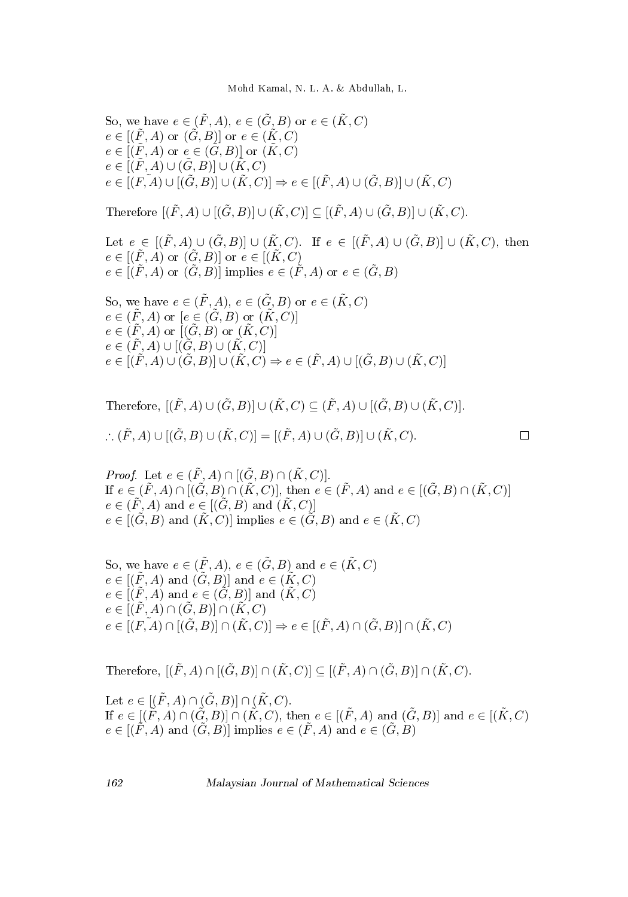Mohd Kamal, N. L. A. & Abdullah, L.

So, we have 
$$
e \in (\tilde{F}, A)
$$
,  $e \in (\tilde{G}, B)$  or  $e \in (\tilde{K}, C)$   
\n $e \in [(\tilde{F}, A)$  or  $(\tilde{G}, B)]$  or  $e \in (\tilde{K}, C)$   
\n $e \in [(\tilde{F}, A)$  or  $e \in (\tilde{G}, B)]$  or  $(\tilde{K}, C)$   
\n $e \in [(\tilde{F}, A) \cup (\tilde{G}, B)] \cup (\tilde{K}, C)$   
\n $e \in [F, A) \cup [(\tilde{G}, B)] \cup (\tilde{K}, C)] \Rightarrow e \in [(\tilde{F}, A) \cup (\tilde{G}, B)] \cup (\tilde{K}, C)$ 

Therefore  $[(\tilde{F}, A) \cup [(\tilde{G}, B)] \cup (\tilde{K}, C)] \subset [(\tilde{F}, A) \cup (\tilde{G}, B)] \cup (\tilde{K}, C)$ .

Let  $e \in [(\tilde{F}, A) \cup (\tilde{G}, B)] \cup (\tilde{K}, C)$ . If  $e \in [(\tilde{F}, A) \cup (\tilde{G}, B)] \cup (\tilde{K}, C)$ , then  $e \in [(\tilde{F}, \tilde{A}) \text{ or } (\tilde{G}, B)] \text{ or } e \in [(\tilde{K}, C)]$  $e \in [(\tilde{F}, A) \text{ or } (\tilde{G}, B)]$  implies  $e \in (\tilde{F}, A)$  or  $e \in (\tilde{G}, B)$ 

So, we have 
$$
e \in (\tilde{F}, A)
$$
,  $e \in (\tilde{G}, B)$  or  $e \in (\tilde{K}, C)$   
\n $e \in (\tilde{F}, A)$  or  $[e \in (\tilde{G}, B)$  or  $(\tilde{K}, C)]$   
\n $e \in (\tilde{F}, A)$  or  $[(\tilde{G}, B)$  or  $(\tilde{K}, C)]$   
\n $e \in (\tilde{F}, A) \cup [(\tilde{G}, B) \cup (\tilde{K}, C)]$   
\n $e \in [(\tilde{F}, A) \cup (\tilde{G}, B)] \cup (\tilde{K}, C) \Rightarrow e \in (\tilde{F}, A) \cup [(\tilde{G}, B) \cup (\tilde{K}, C)]$ 

Therefore, 
$$
[(\tilde{F}, A) \cup (\tilde{G}, B)] \cup (\tilde{K}, C) \subseteq (\tilde{F}, A) \cup [(\tilde{G}, B) \cup (\tilde{K}, C)].
$$
  

$$
\therefore (\tilde{F}, A) \cup [(\tilde{G}, B) \cup (\tilde{K}, C)] = [(\tilde{F}, A) \cup (\tilde{G}, B)] \cup (\tilde{K}, C).
$$

*Proof.* Let  $e \in (\tilde{F}, A) \cap [(\tilde{G}, B) \cap (\tilde{K}, C)]$ . If  $e \in (\tilde{F}, A) \cap [(\tilde{G}, B) \cap (\tilde{K}, C)]$ , then  $e \in (\tilde{F}, A)$  and  $e \in [(\tilde{G}, B) \cap (\tilde{K}, C)]$  $e \in (\tilde{F}, A)$  and  $e \in [(\tilde{G}, B)$  and  $(\tilde{K}, C)]$  $e \in [(\tilde{G}, B) \text{ and } (\tilde{K}, C)]$  implies  $e \in (\tilde{G}, B)$  and  $e \in (\tilde{K}, C)$ 

 $\Box$ 

So, we have  $e \in (\tilde{F}, A), e \in (\tilde{G}, B)$  and  $e \in (\tilde{K}, C)$  $e \in [(\tilde{F}, A)$  and  $(\tilde{G}, B)]$  and  $e \in (\tilde{K}, C)$  $e \in [(\tilde{F}, A) \text{ and } e \in (\tilde{G}, B)] \text{ and } (\tilde{K}, C)$  $e \in [(\tilde{F}, A) \cap (\tilde{G}, B)] \cap (\tilde{K}, C)$  $e \in [(F, A) \cap [(\tilde{G}, B)] \cap (\tilde{K}, C)] \Rightarrow e \in [(\tilde{F}, A) \cap (\tilde{G}, B)] \cap (\tilde{K}, C)$ 

Therefore,  $[(\tilde{F}, A) \cap [(\tilde{G}, B)] \cap (\tilde{K}, C)] \subseteq [(\tilde{F}, A) \cap (\tilde{G}, B)] \cap (\tilde{K}, C)$ .

Let  $e \in [(\tilde{F}, A) \cap (\tilde{G}, B)] \cap (\tilde{K}, C)$ . If  $e \in [(\tilde{F}, A) \cap (\tilde{G}, B)] \cap (\tilde{K}, C)$ , then  $e \in [(\tilde{F}, A)$  and  $(\tilde{G}, B)]$  and  $e \in [(\tilde{K}, C)$  $e \in [(\tilde{F}, A)$  and  $(\tilde{G}, B)]$  implies  $e \in (\tilde{F}, A)$  and  $e \in (\tilde{G}, B)$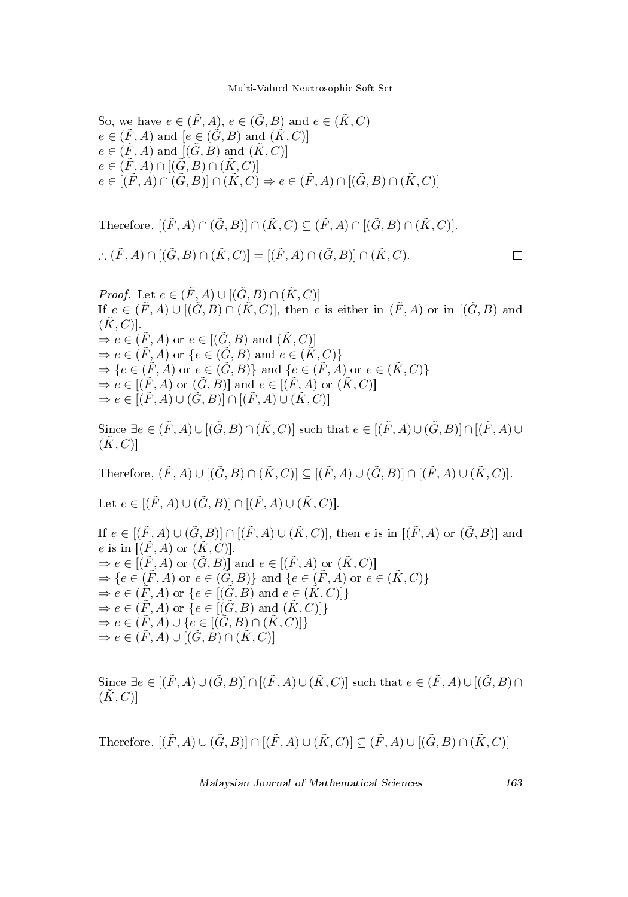So, we have 
$$
e \in (\tilde{F}, A)
$$
,  $e \in (\tilde{G}, B)$  and  $e \in (\tilde{K}, C)$   
\n $e \in (\tilde{F}, A)$  and  $[e \in (\tilde{G}, B)$  and  $(\tilde{K}, C)]$   
\n $e \in (\tilde{F}, A)$  and  $[(\tilde{G}, B)$  and  $(\tilde{K}, C)]$   
\n $e \in (\tilde{F}, A) \cap [(\tilde{G}, B) \cap (\tilde{K}, C)]$   
\n $e \in [(\tilde{F}, A) \cap (\tilde{G}, B)] \cap (\tilde{K}, C) \Rightarrow e \in (\tilde{F}, A) \cap [(\tilde{G}, B) \cap (\tilde{K}, C)]$ 

Therefore, 
$$
[(\tilde{F}, A) \cap (\tilde{G}, B)] \cap (\tilde{K}, C) \subseteq (\tilde{F}, A) \cap [(\tilde{G}, B) \cap (\tilde{K}, C)].
$$
  
\n
$$
\therefore (\tilde{F}, A) \cap [(\tilde{G}, B) \cap (\tilde{K}, C)] = [(\tilde{F}, A) \cap (\tilde{G}, B)] \cap (\tilde{K}, C).
$$

*Proof.* Let  $e \in (\tilde{F}, A) \cup [(\tilde{G}, B) \cap (\tilde{K}, C)]$ If  $e \in (\tilde{F}, A) \cup [(\tilde{G}, B) \cap (\tilde{K}, C)]$ , then e is either in  $(\tilde{F}, A)$  or in  $[(\tilde{G}, B)$  and  $(K, C)$ ].  $\Rightarrow e \in (\tilde{F}, A)$  or  $e \in [(\tilde{G}, B)$  and  $(\tilde{K}, C)]$  $\Rightarrow$   $e \in (\tilde{F}, A)$  or  $\{e \in (\tilde{G}, B) \text{ and } e \in (\tilde{K}, C)\}\$  $\Rightarrow \{e \in (\tilde{F}, A) \text{ or } e \in (\tilde{G}, B)\}\$ and  $\{e \in (\tilde{F}, A) \text{ or } e \in (\tilde{K}, C)\}\$  $\Rightarrow$   $e \in [(\tilde{F}, A)$  or  $(\tilde{G}, B)]$  and  $e \in [(\tilde{F}, A)$  or  $(\tilde{K}, C)]$  $\Rightarrow$   $e \in [(\tilde{F}, A) \cup (\tilde{G}, B)] \cap [(\tilde{F}, A) \cup (\tilde{K}, C)]$ 

Since  $\exists e \in (\tilde{F}, A) \cup [(\tilde{G}, B) \cap (\tilde{K}, C)]$  such that  $e \in [(\tilde{F}, A) \cup (\tilde{G}, B)] \cap [(\tilde{F}, A) \cup$  $(\tilde{K}, C)$ 

Therefore,  $(\tilde{F}, A) \cup [(\tilde{G}, B) \cap (\tilde{K}, C)] \subseteq [(\tilde{F}, A) \cup (\tilde{G}, B)] \cap [(\tilde{F}, A) \cup (\tilde{K}, C)]$ .

Let  $e \in [(\tilde{F}, A) \cup (\tilde{G}, B)] \cap [(\tilde{F}, A) \cup (\tilde{K}, C)].$ 

If  $e \in [(\tilde{F}, A) \cup (\tilde{G}, B)] \cap [(\tilde{F}, A) \cup (\tilde{K}, C)]$ , then e is in  $[(\tilde{F}, A)$  or  $(\tilde{G}, B)]$  and e is in  $[(\tilde{F}, A)$  or  $(\tilde{K}, C)]$ .  $\Rightarrow$   $e \in [(\tilde{F}, A)$  or  $(\tilde{G}, B)]$  and  $e \in [(\tilde{F}, A)$  or  $(\tilde{K}, C)]$  $\Rightarrow \{e \in (\tilde{F}, A) \text{ or } e \in (\tilde{G}, B)\}\$ and  $\{e \in (\tilde{F}, A) \text{ or } e \in (\tilde{K}, C)\}\$  $\Rightarrow$   $e \in (\tilde{F}, A)$  or  $\{e \in [(\tilde{G}, B) \text{ and } e \in (\tilde{K}, C)]\}$  $\Rightarrow$   $e \in (\tilde{F}, A)$  or  $\{e \in [(\tilde{G}, B) \text{ and } (\tilde{K}, C)]\}$  $\Rightarrow$   $e \in (\tilde{F}, A) \cup \{e \in [(\tilde{G}, B) \cap (\tilde{K}, C)]\}$  $\Rightarrow$   $e \in (\overline{F}, A) \cup [(\overline{G}, B) \cap (\overline{K}, C)]$ 

Since  $\exists e \in [(\tilde{F}, A) \cup (\tilde{G}, B)] \cap [(\tilde{F}, A) \cup (\tilde{K}, C)]$  such that  $e \in (\tilde{F}, A) \cup [(\tilde{G}, B) \cap$  $(K, C)$ 

Therefore,  $[(\tilde{F}, A) \cup (\tilde{G}, B)] \cap [(\tilde{F}, A) \cup (\tilde{K}, C)] \subseteq (\tilde{F}, A) \cup [(\tilde{G}, B) \cap (\tilde{K}, C)]$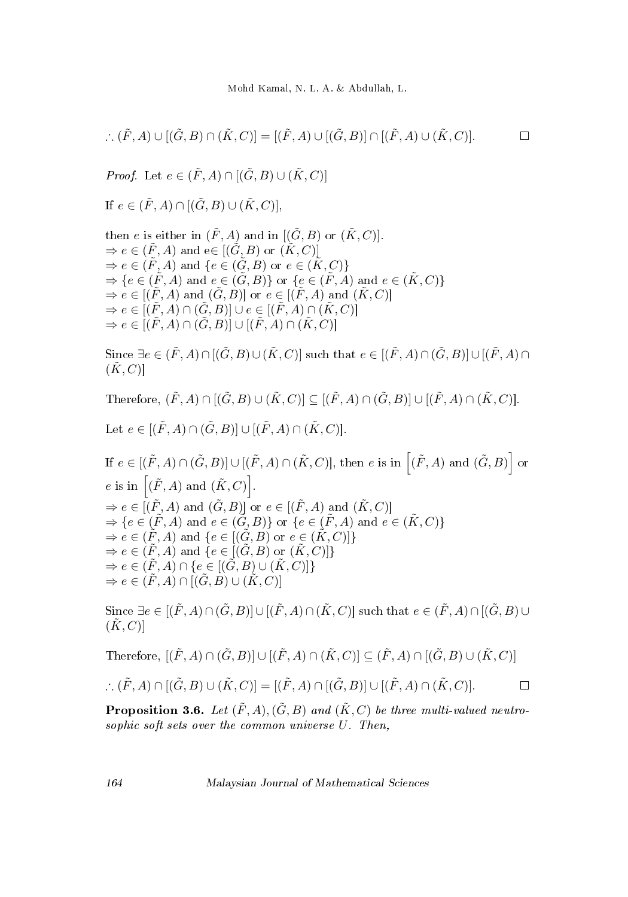$$
\therefore (\tilde{F}, A) \cup [(\tilde{G}, B) \cap (\tilde{K}, C)] = [(\tilde{F}, A) \cup [(\tilde{G}, B)] \cap [(\tilde{F}, A) \cup (\tilde{K}, C)]. \square
$$

*Proof.* Let  $e \in (\tilde{F}, A) \cap [(\tilde{G}, B) \cup (\tilde{K}, C)]$ 

If 
$$
e \in (\tilde{F}, A) \cap [(\tilde{G}, B) \cup (\tilde{K}, C)],
$$

then 
$$
e
$$
 is either in  $(\tilde{F}, A)$  and in  $[(\tilde{G}, B)$  or  $(\tilde{K}, C)]$ .  
\n $\Rightarrow e \in (\tilde{F}, A)$  and  $e \in [(\tilde{G}, B)$  or  $(\tilde{K}, C)]$   
\n $\Rightarrow e \in (\tilde{F}, A)$  and  $\{e \in (\tilde{G}, B)$  or  $e \in (\tilde{K}, C)\}$   
\n $\Rightarrow \{e \in (\tilde{F}, A)$  and  $e \in (\tilde{G}, B)\}$  or  $\{e \in (\tilde{F}, A)$  and  $e \in (\tilde{K}, C)\}$   
\n $\Rightarrow e \in [(\tilde{F}, A)$  and  $(\tilde{G}, B)]$  or  $e \in [(\tilde{F}, A)$  and  $(\tilde{K}, C)]$   
\n $\Rightarrow e \in [(\tilde{F}, A) \cap (\tilde{G}, B)] \cup e \in [(\tilde{F}, A) \cap (\tilde{K}, C)]$   
\n $\Rightarrow e \in [(\tilde{F}, A) \cap (\tilde{G}, B)] \cup [(\tilde{F}, A) \cap (\tilde{K}, C)]$ 

Since  $\exists e \in (\tilde{F}, A) \cap [(\tilde{G}, B) \cup (\tilde{K}, C)]$  such that  $e \in [(\tilde{F}, A) \cap (\tilde{G}, B)] \cup [(\tilde{F}, A) \cap$  $(\tilde{K}, C)$ 

Therefore,  $(\tilde{F}, A) \cap [(\tilde{G}, B) \cup (\tilde{K}, C)] \subseteq [(\tilde{F}, A) \cap (\tilde{G}, B)] \cup [(\tilde{F}, A) \cap (\tilde{K}, C)].$ 

Let 
$$
e \in [(\tilde{F}, A) \cap (\tilde{G}, B)] \cup [(\tilde{F}, A) \cap (\tilde{K}, C)].
$$

If  $e \in [(\tilde{F}, A) \cap (\tilde{G}, B)] \cup [(\tilde{F}, A) \cap (\tilde{K}, C)]$ , then e is in  $[(\tilde{F}, A)$  and  $(\tilde{G}, B)]$  or e is in  $[(\tilde{F}, A)$  and  $(\tilde{K}, C)].$  $\Rightarrow$  e  $\in$   $[(\tilde{F}, A)$  and  $(\tilde{G}, B)]$  or  $e \in$   $[(\tilde{F}, A)$  and  $(\tilde{K}, C)]$  $\Rightarrow \{e \in (\tilde{F},A) \text{ and } e \in (\tilde{G},B)\} \text{ or } \{e \in (\tilde{F},A) \text{ and } e \in (\tilde{K},C)\}$  $\Rightarrow e \in (\tilde{F}, A)$  and  $\{e \in [(\tilde{G}, B) \text{ or } e \in (\tilde{K}, C)]\}$  $\Rightarrow e \in (\tilde{F}, A)$  and  $\{e \in [(\tilde{G}, B) \text{ or } (\tilde{K}, C)]\}$  $\Rightarrow$   $e \in (\tilde{F}, A) \cap \{e \in [(\tilde{G}, B) \cup (\tilde{K}, C)]\}$  $\Rightarrow e \in (\tilde{F}, A) \cap [(\tilde{G}, B) \cup (\tilde{K}, C)]$ 

Since  $\exists e \in [(\tilde{F}, A) \cap (\tilde{G}, B)] \cup [(\tilde{F}, A) \cap (\tilde{K}, C)]$  such that  $e \in (\tilde{F}, A) \cap (\tilde{G}, B) \cup$  $(K, C)$ 

Therefore, 
$$
[(\tilde{F}, A) \cap (\tilde{G}, B)] \cup [(\tilde{F}, A) \cap (\tilde{K}, C)] \subseteq (\tilde{F}, A) \cap [(\tilde{G}, B) \cup (\tilde{K}, C)]
$$

$$
\therefore (\tilde{F}, A) \cap [(\tilde{G}, B) \cup (\tilde{K}, C)] = [(\tilde{F}, A) \cap [(\tilde{G}, B)] \cup [(\tilde{F}, A) \cap (\tilde{K}, C)]. \square
$$

**Proposition 3.6.** Let  $(\tilde{F}, A), (\tilde{G}, B)$  and  $(\tilde{K}, C)$  be three multi-valued neutrosophic soft sets over the common universe U. Then,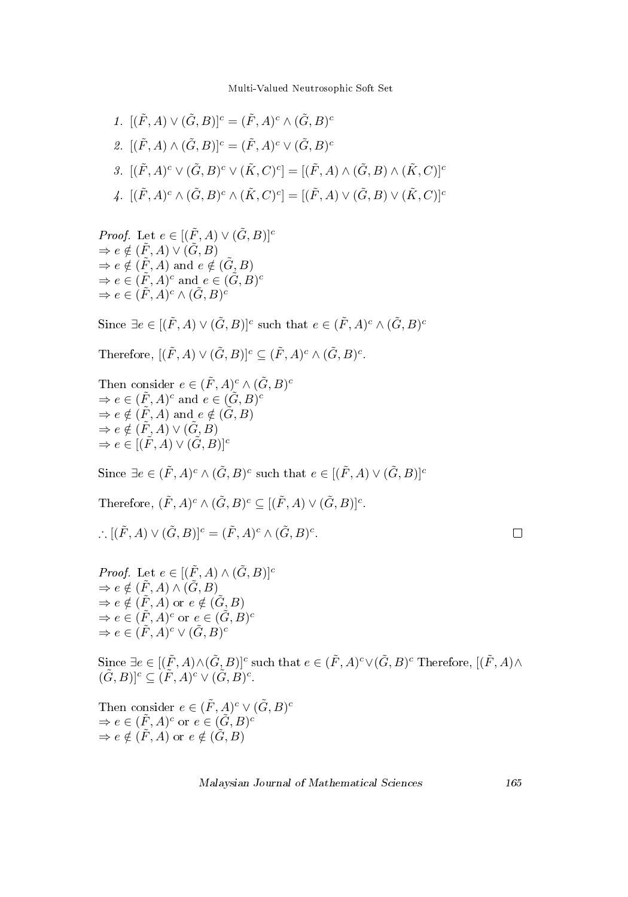1. 
$$
[(\tilde{F}, A) \vee (\tilde{G}, B)]^c = (\tilde{F}, A)^c \wedge (\tilde{G}, B)^c
$$
  
\n2. 
$$
[(\tilde{F}, A) \wedge (\tilde{G}, B)]^c = (\tilde{F}, A)^c \vee (\tilde{G}, B)^c
$$
  
\n3. 
$$
[(\tilde{F}, A)^c \vee (\tilde{G}, B)^c \vee (\tilde{K}, C)^c] = [(\tilde{F}, A) \wedge (\tilde{G}, B) \wedge (\tilde{K}, C)]^c
$$
  
\n4. 
$$
[(\tilde{F}, A)^c \wedge (\tilde{G}, B)^c \wedge (\tilde{K}, C)^c] = [(\tilde{F}, A) \vee (\tilde{G}, B) \vee (\tilde{K}, C)]^c
$$

*Proof.* Let  $e \in [(\tilde{F}, A) \vee (\tilde{G}, B)]^c$  $\Rightarrow e \notin (\tilde{F}, A) \vee (\tilde{G}, B)$  $\Rightarrow e \notin (\tilde{F}, A)$  and  $e \notin (\tilde{G}, B)$  $\Rightarrow e \in (\tilde{F}, A)^c$  and  $e \in (\tilde{G}, B)^c$  $\Rightarrow e \in (\tilde{F}, A)^c \wedge (\tilde{G}, B)^c$ 

Since  $\exists e \in [(\tilde{F}, A) \vee (\tilde{G}, B)]^c$  such that  $e \in (\tilde{F}, A)^c \wedge (\tilde{G}, B)^c$ 

Therefore,  $[(\tilde{F}, A) \vee (\tilde{G}, B)]^c \subseteq (\tilde{F}, A)^c \wedge (\tilde{G}, B)^c$ .

Then consider  $e \in (\tilde{F}, A)^c \wedge (\tilde{G}, B)^c$  $\Rightarrow e \in (\tilde{F}, A)^c$  and  $e \in (\tilde{G}, B)^c$  $\Rightarrow e \notin (\tilde{F}, A)$  and  $e \notin (\tilde{G}, B)$  $\Rightarrow e \notin (\tilde{F}, A) \vee (\tilde{G}, B)$  $\Rightarrow e \in [(\tilde{F}, A) \vee (\tilde{G}, B)]^c$ 

Since  $\exists e \in (\tilde{F}, A)^c \wedge (\tilde{G}, B)^c$  such that  $e \in [(\tilde{F}, A) \vee (\tilde{G}, B)]^c$ 

Therefore,  $(\tilde{F}, A)^c \wedge (\tilde{G}, B)^c \subseteq [(\tilde{F}, A) \vee (\tilde{G}, B)]^c$ .

$$
\therefore [(\tilde{F}, A) \vee (\tilde{G}, B)]^{c} = (\tilde{F}, A)^{c} \wedge (\tilde{G}, B)^{c}.
$$

| ٦ |  |  |
|---|--|--|
|   |  |  |
|   |  |  |

```
Proof. Let e \in [(\tilde{F}, A) \wedge (\tilde{G}, B)]^c\Rightarrow e \notin (\tilde{F}, A) \wedge (\tilde{G}, B)\Rightarrow e \notin (\tilde{F}, A) or e \notin (\tilde{G}, B)\Rightarrow e \in (\tilde{F}, A)^c or e \in (\tilde{G}, B)^c\Rightarrow e \in (\tilde{F}, A)^c \vee (\tilde{G}, B)^c
```
Since  $\exists e\in [(\tilde{F},A)\wedge(\tilde{G},B)]^c$  such that  $e\in (\tilde{F},A)^c\vee(\tilde{G},B)^c$  Therefore,  $[(\tilde{F},A)\wedge(\tilde{G},B)]^c$  $(\tilde{G}, B)]^c \subseteq (\tilde{F}, A)^c \vee (\tilde{G}, B)^c.$ 

Then consider 
$$
e \in (\tilde{F}, A)^c \vee (\tilde{G}, B)^c
$$
  
\n $\Rightarrow e \in (\tilde{F}, A)^c$  or  $e \in (\tilde{G}, B)^c$   
\n $\Rightarrow e \notin (\tilde{F}, A)$  or  $e \notin (\tilde{G}, B)$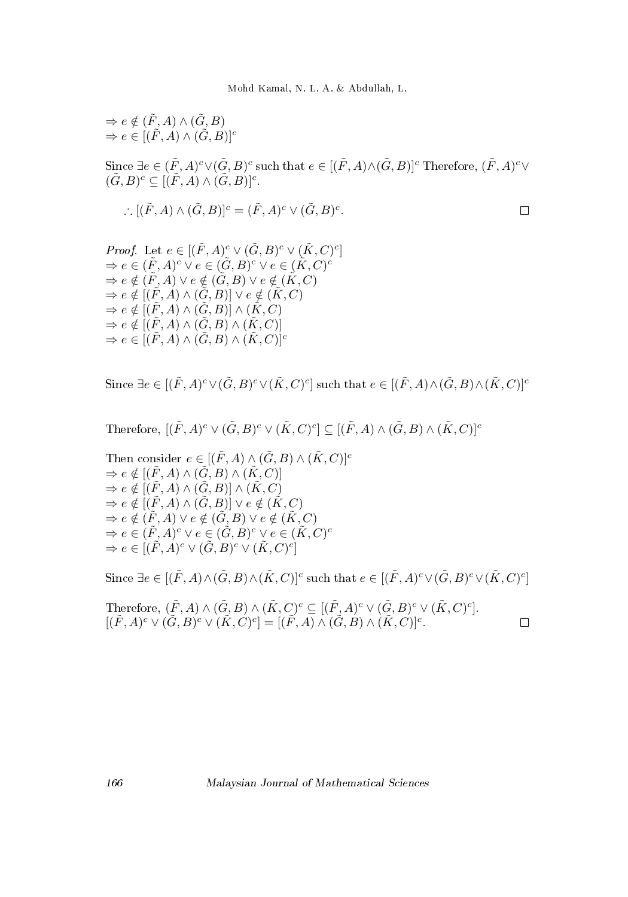$$
\Rightarrow e \notin (\tilde{F}, A) \land (\tilde{G}, B)
$$
  
\n
$$
\Rightarrow e \in [(\tilde{F}, A) \land (\tilde{G}, B)]^{c}
$$
  
\nSince  $\exists e \in (\tilde{F}, A)^{c} \lor (\tilde{G}, B)^{c}$  such that  $e \in [(\tilde{F}, A) \land (\tilde{G}, B)]^{c}$ . Therefore,  $(\tilde{F}, A)^{c} \lor (\tilde{G}, B)^{c} \subseteq [(\tilde{F}, A) \land (\tilde{G}, B)]^{c}$ .  
\n
$$
\therefore [(\tilde{F}, A) \land (\tilde{G}, B)]^{c} = (\tilde{F}, A)^{c} \lor (\tilde{G}, B)^{c}
$$

*Proof.* Let 
$$
e \in [(F, A)^{\circ} \vee (G, B)^{\circ} \vee (K, C)^{\circ}]
$$
  
\n $\Rightarrow e \in (\tilde{F}, A)^{\circ} \vee e \in (\tilde{G}, B)^{\circ} \vee e \in (\tilde{K}, C)^{\circ}$   
\n $\Rightarrow e \notin (\tilde{F}, A) \vee e \notin (\tilde{G}, B) \vee e \notin (\tilde{K}, C)$   
\n $\Rightarrow e \notin [(\tilde{F}, A) \wedge (\tilde{G}, B)] \vee e \notin (\tilde{K}, C)$   
\n $\Rightarrow e \notin [(\tilde{F}, A) \wedge (\tilde{G}, B)] \wedge (\tilde{K}, C)$   
\n $\Rightarrow e \notin [(\tilde{F}, A) \wedge (\tilde{G}, B) \wedge (\tilde{K}, C)]$   
\n $\Rightarrow e \in [(\tilde{F}, A) \wedge (\tilde{G}, B) \wedge (\tilde{K}, C)]^{\circ}$ 

Since  $\exists e \in [(\tilde{F},A)^c \vee (\tilde{G},B)^c \vee (\tilde{K},C)^c]$  such that  $e \in [(\tilde{F},A) \wedge (\tilde{G},B) \wedge (\tilde{K},C)^c]$ 

Therefore, 
$$
[(\tilde{F}, A)^c \vee (\tilde{G}, B)^c \vee (\tilde{K}, C)^c] \subseteq [(\tilde{F}, A) \wedge (\tilde{G}, B) \wedge (\tilde{K}, C)]^c
$$

Then consider 
$$
e \in [(\tilde{F}, A) \wedge (\tilde{G}, B) \wedge (\tilde{K}, C)]^c
$$
  
\n $\Rightarrow e \notin [(\tilde{F}, A) \wedge (\tilde{G}, B) \wedge (\tilde{K}, C)]$   
\n $\Rightarrow e \notin [(\tilde{F}, A) \wedge (\tilde{G}, B)] \wedge (\tilde{K}, C)$   
\n $\Rightarrow e \notin [(\tilde{F}, A) \wedge (\tilde{G}, B)] \vee e \notin (\tilde{K}, C)$   
\n $\Rightarrow e \notin (\tilde{F}, A) \vee e \notin (\tilde{G}, B) \vee e \notin (\tilde{K}, C)$   
\n $\Rightarrow e \in (\tilde{F}, A)^c \vee e \in (\tilde{G}, B)^c \vee e \in (\tilde{K}, C)^c$   
\n $\Rightarrow e \in [(\tilde{F}, A)^c \vee (\tilde{G}, B)^c \vee (\tilde{K}, C)^c]$ 

Since  $\exists e\in [(\tilde{F},A)\wedge(\tilde{G},B)\wedge(\tilde{K},C)]^c$  such that  $e\in [(\tilde{F},A)^c\vee(\tilde{G},B)^c\vee(\tilde{K},C)^c]$ 

Therefore,  $(\tilde{F}, A) \wedge (\tilde{G}, B) \wedge (\tilde{K}, C)^c \subseteq [(\tilde{F}, A)^c \vee (\tilde{G}, B)^c \vee (\tilde{K}, C)^c].$  $[(\tilde{F}, A)^c \vee (\tilde{G}, B)^c \vee (\tilde{K}, C)^c] = [(\tilde{F}, A) \wedge (\tilde{G}, B) \wedge (\tilde{K}, C)]^c.$  $\Box$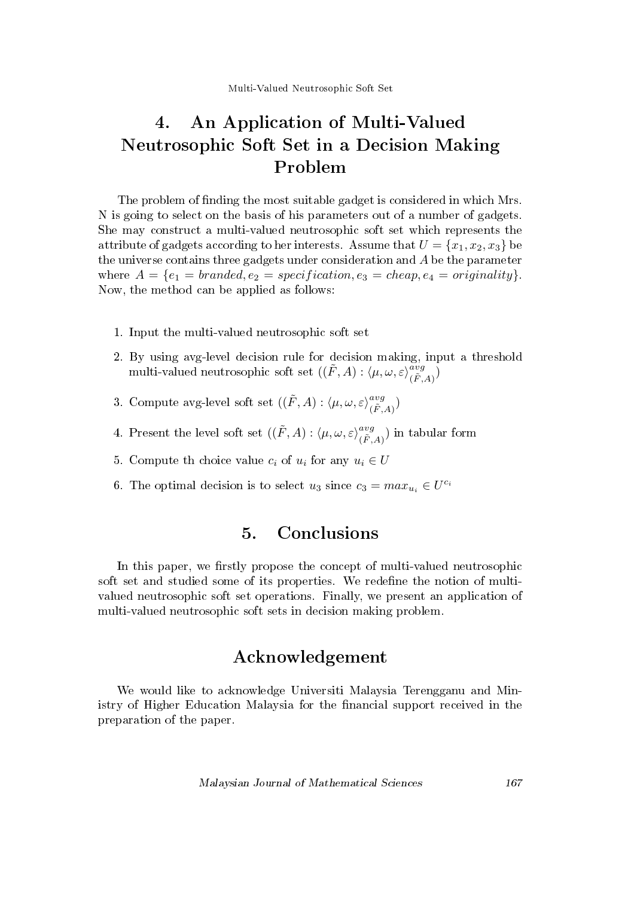# 4. An Application of Multi-Valued Neutrosophic Soft Set in a Decision Making Problem

The problem of finding the most suitable gadget is considered in which Mrs. N is going to select on the basis of his parameters out of a number of gadgets. She may construct a multi-valued neutrosophic soft set which represents the attribute of gadgets according to her interests. Assume that  $U = \{x_1, x_2, x_3\}$  be the universe contains three gadgets under consideration and A be the parameter where  $A = \{e_1 = branded, e_2 = specification, e_3 = cheap, e_4 = originality\}$ . Now, the method can be applied as follows:

- 1. Input the multi-valued neutrosophic soft set
- 2. By using avg-level decision rule for decision making, input a threshold multi-valued neutrosophic soft set  $((\tilde{F}, A) : \langle \mu, \omega, \varepsilon \rangle_{(\tilde{F}, A)}^{avg})$
- 3. Compute avg-level soft set  $((\tilde{F}, A) : \langle \mu, \omega, \varepsilon \rangle_{(\tilde{F}, A)}^{avg})$
- 4. Present the level soft set  $((\tilde{F}, A) : \langle \mu, \omega, \varepsilon \rangle_{(\tilde{F}, A)}^{avg})$  in tabular form
- 5. Compute th choice value  $c_i$  of  $u_i$  for any  $u_i \in U$
- 6. The optimal decision is to select  $u_3$  since  $c_3 = max_{u_i} \in U^{c_i}$

## 5. Conclusions

In this paper, we firstly propose the concept of multi-valued neutrosophic soft set and studied some of its properties. We redefine the notion of multivalued neutrosophic soft set operations. Finally, we present an application of multi-valued neutrosophic soft sets in decision making problem.

## Acknowledgement

We would like to acknowledge Universiti Malaysia Terengganu and Ministry of Higher Education Malaysia for the financial support received in the preparation of the paper.